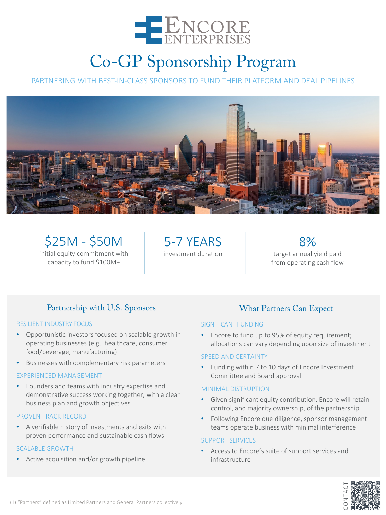

# Co-GP Sponsorship Program

PARTNERING WITH BEST-IN-CLASS SPONSORS TO FUND THEIR PLATFORM AND DEAL PIPELINES



\$25M - \$50M initial equity commitment with capacity to fund \$100M+

5-7 YEARS investment duration

8% target annual yield paid from operating cash flow

## Partnership with U.S. Sponsors

## RESILIENT INDUSTRY FOCUS

- Opportunistic investors focused on scalable growth in operating businesses (e.g., healthcare, consumer food/beverage, manufacturing)
- Businesses with complementary risk parameters

## EXPERIENCED MANAGEMENT

• Founders and teams with industry expertise and demonstrative success working together, with a clear business plan and growth objectives

## PROVEN TRACK RECORD

• A verifiable history of investments and exits with proven performance and sustainable cash flows

## SCALABLE GROWTH

• Active acquisition and/or growth pipeline

## What Partners Can Expect

## SIGNIFICANT FUNDING

• Encore to fund up to 95% of equity requirement; allocations can vary depending upon size of investment

#### SPEED AND CERTAINTY

• Funding within 7 to 10 days of Encore Investment Committee and Board approval

## MINIMAL DISTRUPTION

- Given significant equity contribution, Encore will retain control, and majority ownership, of the partnership
- Following Encore due diligence, sponsor management teams operate business with minimal interference

#### SUPPORT SERVICES

• Access to Encore's suite of support services and infrastructure